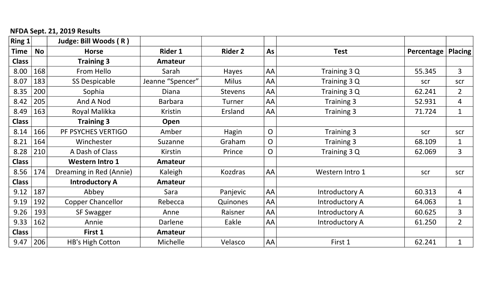## NFDA Sept. 21, 2019 Results

| Ring 1       |           | Judge: Bill Woods (R)    |                  |                |                |                       |            |                |
|--------------|-----------|--------------------------|------------------|----------------|----------------|-----------------------|------------|----------------|
| Time         | <b>No</b> | <b>Horse</b>             | <b>Rider 1</b>   | <b>Rider 2</b> | As             | <b>Test</b>           | Percentage | Placing        |
| <b>Class</b> |           | <b>Training 3</b>        | Amateur          |                |                |                       |            |                |
| 8.00         | 168       | From Hello               | Sarah            | Hayes          | AA             | Training 3 Q          | 55.345     | 3              |
| 8.07         | 183       | <b>SS Despicable</b>     | Jeanne "Spencer" | <b>Milus</b>   | AA             | Training 3 Q          | scr        | scr            |
| 8.35         | 200       | Sophia                   | Diana            | <b>Stevens</b> | AA             | Training 3 Q          | 62.241     | $\overline{2}$ |
| 8.42         | 205       | And A Nod                | <b>Barbara</b>   | Turner         | AA             | Training 3            | 52.931     | 4              |
| 8.49         | 163       | Royal Malikka            | Kristin          | Ersland        | AA             | Training 3            | 71.724     | $\mathbf{1}$   |
| <b>Class</b> |           | <b>Training 3</b>        | Open             |                |                |                       |            |                |
| 8.14         | 166       | PF PSYCHES VERTIGO       | Amber            | Hagin          | $\overline{O}$ | Training 3            | scr        | scr            |
| 8.21         | 164       | Winchester               | Suzanne          | Graham         | $\overline{O}$ | Training 3            | 68.109     | $\mathbf{1}$   |
| 8.28         | 210       | A Dash of Class          | Kirstin          | Prince         | $\overline{O}$ | Training 3 Q          | 62.069     | 3              |
| <b>Class</b> |           | <b>Western Intro 1</b>   | <b>Amateur</b>   |                |                |                       |            |                |
| 8.56         | 174       | Dreaming in Red (Annie)  | Kaleigh          | <b>Kozdras</b> | AA             | Western Intro 1       | scr        | scr            |
| <b>Class</b> |           | <b>Introductory A</b>    | Amateur          |                |                |                       |            |                |
| 9.12         | 187       | Abbey                    | Sara             | Panjevic       | AA             | <b>Introductory A</b> | 60.313     | 4              |
| 9.19         | 192       | <b>Copper Chancellor</b> | Rebecca          | Quinones       | AA             | <b>Introductory A</b> | 64.063     | $\mathbf{1}$   |
| 9.26         | 193       | <b>SF Swagger</b>        | Anne             | Raisner        | AA             | Introductory A        | 60.625     | 3              |
| 9.33         | 162       | Annie                    | Darlene          | Eakle          | AA             | Introductory A        | 61.250     | $\overline{2}$ |
| <b>Class</b> |           | First 1                  | Amateur          |                |                |                       |            |                |
| 9.47         | 206       | <b>HB's High Cotton</b>  | Michelle         | Velasco        | AA             | First 1               | 62.241     | $\mathbf{1}$   |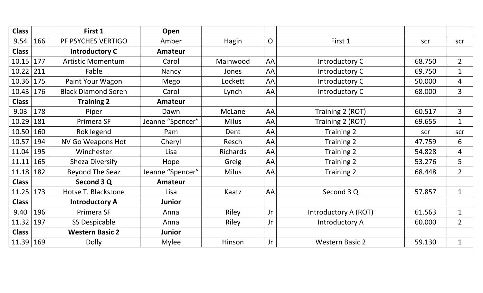| <b>Class</b> |     | First 1                    | Open             |                 |              |                        |        |                |
|--------------|-----|----------------------------|------------------|-----------------|--------------|------------------------|--------|----------------|
| 9.54         | 166 | PF PSYCHES VERTIGO         | Amber            | Hagin           | $\mathsf{O}$ | First 1                | scr    | scr            |
| <b>Class</b> |     | <b>Introductory C</b>      | <b>Amateur</b>   |                 |              |                        |        |                |
| 10.15        | 177 | <b>Artistic Momentum</b>   | Carol            | Mainwood        | AA           | Introductory C         | 68.750 | $\overline{2}$ |
| 10.22        | 211 | Fable                      | Nancy            | Jones           | AA           | Introductory C         | 69.750 | $\mathbf{1}$   |
| 10.36        | 175 | Paint Your Wagon           | Mego             | Lockett         | AA           | Introductory C         | 50.000 | 4              |
| 10.43        | 176 | <b>Black Diamond Soren</b> | Carol            | Lynch           | AA           | Introductory C         | 68.000 | 3              |
| <b>Class</b> |     | <b>Training 2</b>          | <b>Amateur</b>   |                 |              |                        |        |                |
| 9.03         | 178 | Piper                      | Dawn             | McLane          | AA           | Training 2 (ROT)       | 60.517 | $\overline{3}$ |
| 10.29        | 181 | Primera SF                 | Jeanne "Spencer" | <b>Milus</b>    | AA           | Training 2 (ROT)       | 69.655 | $\mathbf{1}$   |
| 10.50        | 160 | Rok legend                 | Pam              | Dent            | AA           | Training 2             | scr    | scr            |
| 10.57        | 194 | <b>NV Go Weapons Hot</b>   | Cheryl           | Resch           | AA           | <b>Training 2</b>      | 47.759 | 6              |
| 11.04        | 195 | Winchester                 | Lisa             | <b>Richards</b> | AA           | <b>Training 2</b>      | 54.828 | $\overline{4}$ |
| 11.11        | 165 | Sheza Diversify            | Hope             | Greig           | AA           | Training 2             | 53.276 | 5              |
| 11.18        | 182 | <b>Beyond The Seaz</b>     | Jeanne "Spencer" | <b>Milus</b>    | AA           | Training 2             | 68.448 | $\overline{2}$ |
| <b>Class</b> |     | Second 3 Q                 | Amateur          |                 |              |                        |        |                |
| 11.25        | 173 | Hotse T. Blackstone        | Lisa             | Kaatz           | AA           | Second 3 Q             | 57.857 | $\mathbf{1}$   |
| <b>Class</b> |     | <b>Introductory A</b>      | <b>Junior</b>    |                 |              |                        |        |                |
| 9.40         | 196 | Primera SF                 | Anna             | Riley           | Jr           | Introductory A (ROT)   | 61.563 | $\mathbf{1}$   |
| 11.32        | 197 | <b>SS Despicable</b>       | Anna             | Riley           | Jr           | Introductory A         | 60.000 | $\overline{2}$ |
| <b>Class</b> |     | <b>Western Basic 2</b>     | <b>Junior</b>    |                 |              |                        |        |                |
| 11.39        | 169 | <b>Dolly</b>               | <b>Mylee</b>     | Hinson          | Jr           | <b>Western Basic 2</b> | 59.130 | $\mathbf{1}$   |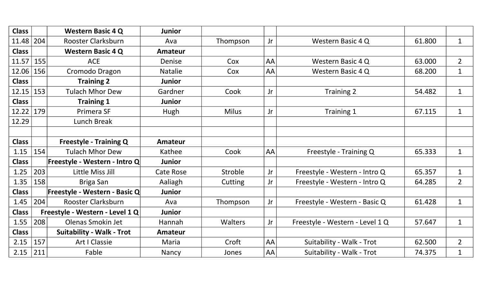| <b>Class</b> |     | <b>Western Basic 4 Q</b>         | <b>Junior</b>    |              |    |                                 |        |                |
|--------------|-----|----------------------------------|------------------|--------------|----|---------------------------------|--------|----------------|
| 11.48   204  |     | <b>Rooster Clarksburn</b>        | Ava              | Thompson     | Jr | Western Basic 4 Q               | 61.800 | $\mathbf{1}$   |
| <b>Class</b> |     | <b>Western Basic 4 Q</b>         | <b>Amateur</b>   |              |    |                                 |        |                |
| 11.57        | 155 | <b>ACE</b>                       | <b>Denise</b>    | Cox          | AA | Western Basic 4 Q               | 63.000 | $\overline{2}$ |
| 12.06   156  |     | Cromodo Dragon                   | <b>Natalie</b>   | Cox          | AA | Western Basic 4 Q               | 68.200 | $\mathbf{1}$   |
| <b>Class</b> |     | <b>Training 2</b>                | <b>Junior</b>    |              |    |                                 |        |                |
| 12.15 153    |     | <b>Tulach Mhor Dew</b>           | Gardner          | Cook         | Jr | Training 2                      | 54.482 | $\mathbf{1}$   |
| <b>Class</b> |     | <b>Training 1</b>                | <b>Junior</b>    |              |    |                                 |        |                |
| 12.22   179  |     | Primera SF                       | Hugh             | <b>Milus</b> | Jr | Training 1                      | 67.115 | $\mathbf{1}$   |
| 12.29        |     | Lunch Break                      |                  |              |    |                                 |        |                |
|              |     |                                  |                  |              |    |                                 |        |                |
| <b>Class</b> |     | <b>Freestyle - Training Q</b>    | <b>Amateur</b>   |              |    |                                 |        |                |
| 1.15         | 154 | <b>Tulach Mhor Dew</b>           | Kathee           | Cook         | AA | Freestyle - Training Q          | 65.333 | $\mathbf{1}$   |
| <b>Class</b> |     | Freestyle - Western - Intro Q    | <b>Junior</b>    |              |    |                                 |        |                |
| 1.25         | 203 | Little Miss Jill                 | <b>Cate Rose</b> | Stroble      | Jr | Freestyle - Western - Intro Q   | 65.357 | $\mathbf{1}$   |
| 1.35         | 158 | Briga San                        | Aaliagh          | Cutting      | Jr | Freestyle - Western - Intro Q   | 64.285 | $\overline{2}$ |
| <b>Class</b> |     | Freestyle - Western - Basic Q    | <b>Junior</b>    |              |    |                                 |        |                |
| 1.45         | 204 | <b>Rooster Clarksburn</b>        | Ava              | Thompson     | Jr | Freestyle - Western - Basic Q   | 61.428 | $\mathbf{1}$   |
| <b>Class</b> |     | Freestyle - Western - Level 1 Q  | <b>Junior</b>    |              |    |                                 |        |                |
| 1.55         | 208 | Olenas Smokin Jet                | Hannah           | Walters      | Jr | Freestyle - Western - Level 1 Q | 57.647 | $\mathbf{1}$   |
| <b>Class</b> |     | <b>Suitability - Walk - Trot</b> | <b>Amateur</b>   |              |    |                                 |        |                |
| 2.15         | 157 | <b>Art I Classie</b>             | Maria            | Croft        | AA | Suitability - Walk - Trot       | 62.500 | $\overline{2}$ |
| $2.15$ 211   |     | Fable                            | Nancy            | Jones        | AA | Suitability - Walk - Trot       | 74.375 | $\mathbf{1}$   |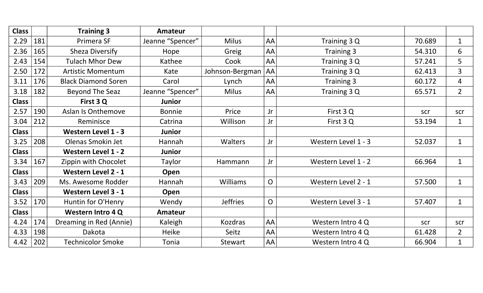| <b>Class</b> |     | <b>Training 3</b>          | Amateur          |                 |                |                     |        |                |
|--------------|-----|----------------------------|------------------|-----------------|----------------|---------------------|--------|----------------|
| 2.29         | 181 | Primera SF                 | Jeanne "Spencer" | <b>Milus</b>    | AA             | Training 3 Q        | 70.689 | $\mathbf{1}$   |
| 2.36         | 165 | <b>Sheza Diversify</b>     | Hope             | Greig           | AA             | Training 3          | 54.310 | 6              |
| 2.43         | 154 | <b>Tulach Mhor Dew</b>     | Kathee           | Cook            | AA             | Training 3 Q        | 57.241 | 5 <sup>5</sup> |
| 2.50         | 172 | <b>Artistic Momentum</b>   | Kate             | Johnson-Bergman | AA             | Training 3 Q        | 62.413 | 3              |
| 3.11         | 176 | <b>Black Diamond Soren</b> | Carol            | Lynch           | AA             | Training 3          | 60.172 | $\overline{4}$ |
| 3.18         | 182 | <b>Beyond The Seaz</b>     | Jeanne "Spencer" | <b>Milus</b>    | AA             | Training 3 Q        | 65.571 | $\overline{2}$ |
| <b>Class</b> |     | First 3 Q                  | <b>Junior</b>    |                 |                |                     |        |                |
| 2.57         | 190 | Aslan Is Onthemove         | <b>Bonnie</b>    | Price           | Jr             | First 3 Q           | scr    | scr            |
| 3.04         | 212 | Reminisce                  | Catrina          | Willison        | Jr             | First 3 Q           | 53.194 | $\mathbf{1}$   |
| <b>Class</b> |     | <b>Western Level 1 - 3</b> | <b>Junior</b>    |                 |                |                     |        |                |
| 3.25         | 208 | Olenas Smokin Jet          | Hannah           | <b>Walters</b>  | Jr             | Western Level 1 - 3 | 52.037 | $\mathbf{1}$   |
| <b>Class</b> |     | <b>Western Level 1 - 2</b> | <b>Junior</b>    |                 |                |                     |        |                |
| 3.34         | 167 | Zippin with Chocolet       | Taylor           | Hammann         | Jr             | Western Level 1 - 2 | 66.964 | $\mathbf{1}$   |
| <b>Class</b> |     | <b>Western Level 2 - 1</b> | Open             |                 |                |                     |        |                |
| 3.43         | 209 | Ms. Awesome Rodder         | Hannah           | <b>Williams</b> | $\overline{O}$ | Western Level 2 - 1 | 57.500 | $\mathbf{1}$   |
| <b>Class</b> |     | <b>Western Level 3 - 1</b> | Open             |                 |                |                     |        |                |
| 3.52         | 170 | Huntin for O'Henry         | Wendy            | <b>Jeffries</b> | $\overline{O}$ | Western Level 3 - 1 | 57.407 | $\mathbf{1}$   |
| <b>Class</b> |     | <b>Western Intro 4 Q</b>   | Amateur          |                 |                |                     |        |                |
| 4.24         | 174 | Dreaming in Red (Annie)    | Kaleigh          | <b>Kozdras</b>  | AA             | Western Intro 4 Q   | scr    | scr            |
| 4.33         | 198 | Dakota                     | <b>Heike</b>     | Seitz           | AA             | Western Intro 4 Q   | 61.428 | $\overline{2}$ |
| 4.42         | 202 | <b>Technicolor Smoke</b>   | Tonia            | Stewart         | AA             | Western Intro 4 Q   | 66.904 | $\mathbf{1}$   |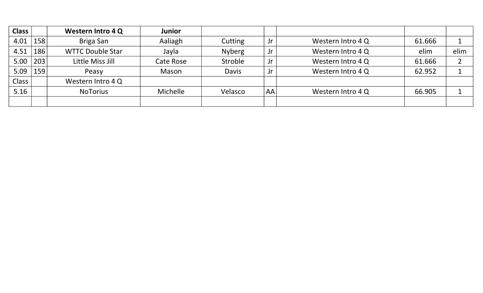| <b>Class</b> |     | <b>Western Intro 4 Q</b> | <b>Junior</b> |               |    |                   |        |      |
|--------------|-----|--------------------------|---------------|---------------|----|-------------------|--------|------|
| 4.01         | 158 | Briga San                | Aaliagh       | Cutting       | Jr | Western Intro 4 Q | 61.666 |      |
| 4.51         | 186 | <b>WTTC Double Star</b>  | Jayla         | <b>Nyberg</b> | Jr | Western Intro 4 Q | elim   | elim |
| 5.00         | 203 | Little Miss Jill         | Cate Rose     | Stroble       | Jr | Western Intro 4 Q | 61.666 |      |
| 5.09         | 159 | Peasy                    | Mason         | <b>Davis</b>  | Jr | Western Intro 4 Q | 62.952 |      |
| Class        |     | Western Intro 4 Q        |               |               |    |                   |        |      |
| 5.16         |     | <b>NoTorius</b>          | Michelle      | Velasco       | AA | Western Intro 4 Q | 66.905 |      |
|              |     |                          |               |               |    |                   |        |      |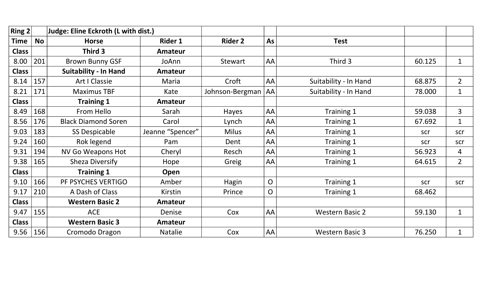| Ring $2 $    |           | <b>Judge: Eline Eckroth (L with dist.)</b> |                  |                 |              |                        |        |                |
|--------------|-----------|--------------------------------------------|------------------|-----------------|--------------|------------------------|--------|----------------|
| <b>Time</b>  | <b>No</b> | <b>Horse</b>                               | <b>Rider 1</b>   | <b>Rider 2</b>  | As           | <b>Test</b>            |        |                |
| <b>Class</b> |           | Third 3                                    | <b>Amateur</b>   |                 |              |                        |        |                |
| 8.00         | 201       | <b>Brown Bunny GSF</b>                     | JoAnn            | Stewart         | AA           | Third 3                | 60.125 | $\mathbf{1}$   |
| <b>Class</b> |           | <b>Suitability - In Hand</b>               | <b>Amateur</b>   |                 |              |                        |        |                |
| 8.14         | 157       | <b>Art I Classie</b>                       | Maria            | Croft           | AA           | Suitability - In Hand  | 68.875 | $\overline{2}$ |
| 8.21         | 171       | <b>Maximus TBF</b>                         | Kate             | Johnson-Bergman | AA           | Suitability - In Hand  | 78.000 | $\mathbf{1}$   |
| <b>Class</b> |           | <b>Training 1</b>                          | <b>Amateur</b>   |                 |              |                        |        |                |
| 8.49         | 168       | From Hello                                 | Sarah            | <b>Hayes</b>    | AA           | Training 1             | 59.038 | $\overline{3}$ |
| 8.56         | 176       | <b>Black Diamond Soren</b>                 | Carol            | Lynch           | AA           | Training 1             | 67.692 | $\mathbf{1}$   |
| 9.03         | 183       | <b>SS Despicable</b>                       | Jeanne "Spencer" | <b>Milus</b>    | AA           | Training 1             | scr    | scr            |
| 9.24         | 160       | Rok legend                                 | Pam              | Dent            | AA           | Training 1             | scr    | scr            |
| 9.31         | 194       | <b>NV Go Weapons Hot</b>                   | Cheryl           | Resch           | AA           | Training 1             | 56.923 | 4              |
| 9.38         | 165       | <b>Sheza Diversify</b>                     | Hope             | Greig           | AA           | Training 1             | 64.615 | $\overline{2}$ |
| <b>Class</b> |           | <b>Training 1</b>                          | Open             |                 |              |                        |        |                |
| 9.10         | 166       | PF PSYCHES VERTIGO                         | Amber            | Hagin           | $\mathsf{O}$ | Training 1             | scr    | scr            |
| 9.17         | 210       | A Dash of Class                            | Kirstin          | Prince          | O            | Training 1             | 68.462 |                |
| <b>Class</b> |           | <b>Western Basic 2</b>                     | Amateur          |                 |              |                        |        |                |
| 9.47         | 155       | <b>ACE</b>                                 | Denise           | Cox             | AA           | <b>Western Basic 2</b> | 59.130 | $\mathbf{1}$   |
| <b>Class</b> |           | <b>Western Basic 3</b>                     | <b>Amateur</b>   |                 |              |                        |        |                |
| $9.56$   156 |           | Cromodo Dragon                             | <b>Natalie</b>   | Cox             | AA           | <b>Western Basic 3</b> | 76.250 | $\mathbf{1}$   |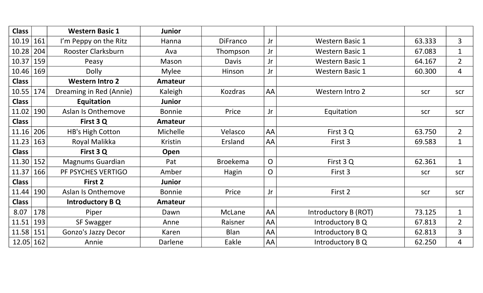| <b>Class</b> |     | <b>Western Basic 1</b>    | <b>Junior</b>  |                 |                |                        |        |                |
|--------------|-----|---------------------------|----------------|-----------------|----------------|------------------------|--------|----------------|
| 10.19        | 161 | I'm Peppy on the Ritz     | Hanna          | <b>DiFranco</b> | Jr             | <b>Western Basic 1</b> | 63.333 | $\overline{3}$ |
| 10.28        | 204 | Rooster Clarksburn        | Ava            | Thompson        | Jr             | <b>Western Basic 1</b> | 67.083 | $\mathbf{1}$   |
| 10.37        | 159 | Peasy                     | Mason          | <b>Davis</b>    | Jr             | <b>Western Basic 1</b> | 64.167 | $\overline{2}$ |
| 10.46        | 169 | <b>Dolly</b>              | <b>Mylee</b>   | Hinson          | Jr             | <b>Western Basic 1</b> | 60.300 | $\overline{4}$ |
| <b>Class</b> |     | <b>Western Intro 2</b>    | <b>Amateur</b> |                 |                |                        |        |                |
| 10.55   174  |     | Dreaming in Red (Annie)   | Kaleigh        | Kozdras         | AA             | Western Intro 2        | scr    | scr            |
| <b>Class</b> |     | Equitation                | <b>Junior</b>  |                 |                |                        |        |                |
| 11.02   190  |     | <b>Aslan Is Onthemove</b> | <b>Bonnie</b>  | Price           | Jr             | Equitation             | scr    | scr            |
| <b>Class</b> |     | First 3 Q                 | <b>Amateur</b> |                 |                |                        |        |                |
| 11.16        | 206 | HB's High Cotton          | Michelle       | Velasco         | AA             | First 3 Q              | 63.750 | $\overline{2}$ |
| 11.23 163    |     | Royal Malikka             | <b>Kristin</b> | Ersland         | AA             | First 3                | 69.583 | $\mathbf{1}$   |
| <b>Class</b> |     | First 3Q                  | Open           |                 |                |                        |        |                |
| 11.30 152    |     | <b>Magnums Guardian</b>   | Pat            | <b>Broekema</b> | $\overline{O}$ | First 3 Q              | 62.361 | $\mathbf{1}$   |
| 11.37        | 166 | PF PSYCHES VERTIGO        | Amber          | Hagin           | $\overline{O}$ | First 3                | scr    | scr            |
| <b>Class</b> |     | First 2                   | <b>Junior</b>  |                 |                |                        |        |                |
| 11.44 190    |     | <b>Aslan Is Onthemove</b> | <b>Bonnie</b>  | Price           | Jr             | First 2                | scr    | scr            |
| <b>Class</b> |     | <b>Introductory BQ</b>    | <b>Amateur</b> |                 |                |                        |        |                |
| 8.07         | 178 | Piper                     | Dawn           | McLane          | AA             | Introductory B (ROT)   | 73.125 | $\mathbf{1}$   |
| 11.51 193    |     | <b>SF Swagger</b>         | Anne           | Raisner         | AA             | Introductory B Q       | 67.813 | $\overline{2}$ |
| 11.58 151    |     | Gonzo's Jazzy Decor       | Karen          | <b>Blan</b>     | AA             | Introductory B Q       | 62.813 | 3              |
| 12.05 162    |     | Annie                     | Darlene        | Eakle           | AA             | Introductory B Q       | 62.250 | 4              |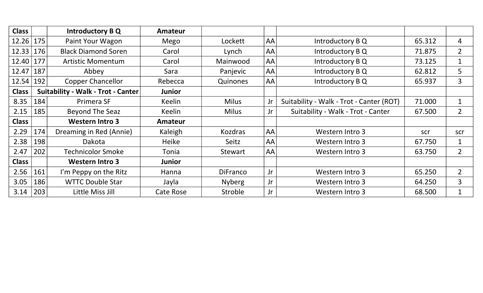| <b>Class</b>     |                                           | Introductory B Q           | <b>Amateur</b> |               |    |                                          |        |                |
|------------------|-------------------------------------------|----------------------------|----------------|---------------|----|------------------------------------------|--------|----------------|
| $12.26 \mid 175$ |                                           | Paint Your Wagon           | Mego           | Lockett       | AA | Introductory B Q                         | 65.312 | 4              |
| 12.33            | 176                                       | <b>Black Diamond Soren</b> | Carol          | Lynch         | AA | Introductory B Q                         | 71.875 | $\overline{2}$ |
| 12.40            | 177                                       | <b>Artistic Momentum</b>   | Carol          | Mainwood      | AA | Introductory B Q                         | 73.125 | $\mathbf 1$    |
| 12.47            | 187                                       | Abbey                      | Sara           | Panjevic      | AA | Introductory B Q                         | 62.812 | 5              |
| 12.54            | 192                                       | <b>Copper Chancellor</b>   | Rebecca        | Quinones      | AA | Introductory B Q                         | 65.937 | 3              |
| <b>Class</b>     | <b>Suitability - Walk - Trot - Canter</b> |                            | Junior         |               |    |                                          |        |                |
| 8.35             | 184                                       | Primera SF                 | Keelin         | <b>Milus</b>  | Jr | Suitability - Walk - Trot - Canter (ROT) | 71.000 | $\mathbf{1}$   |
| 2.15             | 185                                       | Beyond The Seaz            | Keelin         | <b>Milus</b>  | Jr | Suitability - Walk - Trot - Canter       | 67.500 | $\overline{2}$ |
| <b>Class</b>     |                                           | <b>Western Intro 3</b>     | <b>Amateur</b> |               |    |                                          |        |                |
| 2.29             | 174                                       | Dreaming in Red (Annie)    | Kaleigh        | Kozdras       | AA | Western Intro 3                          | scr    | scr            |
| 2.38             | 198                                       | Dakota                     | Heike          | Seitz         | AA | Western Intro 3                          | 67.750 | 1              |
| 2.47             | 202                                       | <b>Technicolor Smoke</b>   | Tonia          | Stewart       | AA | Western Intro 3                          | 63.750 | $\overline{2}$ |
| <b>Class</b>     |                                           | <b>Western Intro 3</b>     | <b>Junior</b>  |               |    |                                          |        |                |
| 2.56             | 161                                       | I'm Peppy on the Ritz      | Hanna          | DiFranco      | Jr | Western Intro 3                          | 65.250 | $\overline{2}$ |
| 3.05             | 186                                       | <b>WTTC Double Star</b>    | Jayla          | <b>Nyberg</b> | Jr | Western Intro 3                          | 64.250 | 3              |
| 3.14             | 203                                       | Little Miss Jill           | Cate Rose      | Stroble       | Jr | Western Intro 3                          | 68.500 | $\mathbf{1}$   |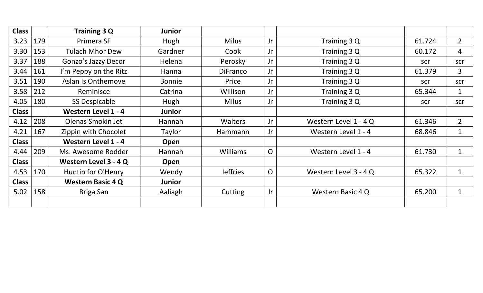| <b>Class</b> |     | Training 3 Q               | <b>Junior</b> |                 |                |                       |        |                |
|--------------|-----|----------------------------|---------------|-----------------|----------------|-----------------------|--------|----------------|
| 3.23         | 179 | Primera SF                 | Hugh          | <b>Milus</b>    | Jr             | Training 3 Q          | 61.724 | $\overline{2}$ |
| 3.30         | 153 | <b>Tulach Mhor Dew</b>     | Gardner       | Cook            | Jr             | Training 3 Q          | 60.172 | $\overline{4}$ |
| 3.37         | 188 | Gonzo's Jazzy Decor        | Helena        | Perosky         | Jr             | Training 3 Q          | scr    | scr            |
| 3.44         | 161 | I'm Peppy on the Ritz      | Hanna         | <b>DiFranco</b> | Jr             | Training 3 Q          | 61.379 | $\overline{3}$ |
| 3.51         | 190 | <b>Aslan Is Onthemove</b>  | <b>Bonnie</b> | Price           | Jr             | Training 3 Q          | scr    | scr            |
| 3.58         | 212 | Reminisce                  | Catrina       | Willison        | Jr             | Training 3 Q          | 65.344 | $\mathbf{1}$   |
| 4.05         | 180 | <b>SS Despicable</b>       | Hugh          | <b>Milus</b>    | Jr             | Training 3 Q          | scr    | scr            |
| <b>Class</b> |     | <b>Western Level 1 - 4</b> | <b>Junior</b> |                 |                |                       |        |                |
| 4.12         | 208 | Olenas Smokin Jet          | Hannah        | <b>Walters</b>  | Jr             | Western Level 1 - 4 Q | 61.346 | $\overline{2}$ |
| 4.21         | 167 | Zippin with Chocolet       | Taylor        | Hammann         | Jr             | Western Level 1 - 4   | 68.846 | $\mathbf{1}$   |
| <b>Class</b> |     | <b>Western Level 1 - 4</b> | Open          |                 |                |                       |        |                |
| 4.44         | 209 | Ms. Awesome Rodder         | Hannah        | <b>Williams</b> | $\overline{O}$ | Western Level 1 - 4   | 61.730 | $\mathbf{1}$   |
| <b>Class</b> |     | Western Level 3 - 4 Q      | Open          |                 |                |                       |        |                |
| 4.53         | 170 | Huntin for O'Henry         | Wendy         | <b>Jeffries</b> | $\overline{O}$ | Western Level 3 - 4 Q | 65.322 | $\mathbf{1}$   |
| <b>Class</b> |     | <b>Western Basic 4 Q</b>   | <b>Junior</b> |                 |                |                       |        |                |
| $5.02$       | 158 | Briga San                  | Aaliagh       | Cutting         | Jr             | Western Basic 4 Q     | 65.200 | $\mathbf{1}$   |
|              |     |                            |               |                 |                |                       |        |                |